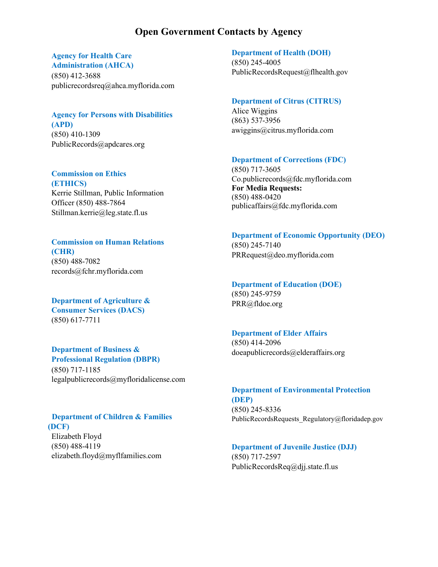## **Open Government Contacts by Agency**

## **Agency for Health Care Administration (AHCA)**

(850) 412-3688 [publicrecordsreq@ahca.myflorida.com](mailto:publicrecordsreq@ahca.myflorida.com)

## **Agency for Persons with Disabilities (APD)**  (850) 410-1309

[PublicRecords@apdcares.org](mailto:PublicRecords@apdcares.org)

**Commission on Ethics (ETHICS)**  Kerrie Stillman, Public Information Officer (850) 488-7864 [Stillman.kerrie@leg.state.fl.us](mailto:Stillman.kerrie@leg.state.fl.us)

**Commission on Human Relations (CHR)**  (850) 488-7082 [records@fchr.myflorida.com](mailto:records@fchr.myflorida.com)

**Department of Agriculture & Consumer Services (DACS)** (850) 617-7711

# **Department of Business & Professional Regulation (DBPR)**

(850) 717-1185 [legalpublicrecords@myfloridalicense.com](mailto:legalpublicrecords@myfloridalicense.com)

#### **Department of Children & Families (DCF)**

Elizabeth Floyd (850) 488-4119 [elizabeth.floyd@myflfamilies.com](mailto:elizabeth.floyd@myflfamilies.com)

### **Department of Health (DOH)** (850) 245-4005 [PublicRecordsRequest@flhealth.gov](mailto:PublicRecordsRequest@flhealth.gov)

#### **Department of Citrus (CITRUS)**

Alice Wiggins (863) 537-3956 [awiggins@citrus.myflorida.com](mailto:awiggins@citrus.myflorida.com)

#### **Department of Corrections (FDC)**

(850) 717-3605 [Co.publicrecords@fdc.myflorida.com](mailto:Co.publicrecords@fdc.myflorida.com) **For Media Requests:** (850) 488-0420 publicaffairs@fdc.myflorida.com

**Department of Economic Opportunity (DEO)**  (850) 245-7140

[PRRequest@deo.myflorida.com](mailto:PRRequest@deo.myflorida.com)

# **Department of Education (DOE)** (850) 245-9759

[PRR@fldoe.org](mailto:PRR@fldoe.org)

## **Department of Elder Affairs**

(850) 414-2096 [doeapublicrecords@elderaffairs.org](mailto:doeapublicrecords@elderaffairs.org)

# **Department of Environmental Protection (DEP)** (850) 245-8336

PublicRecordsRequests\_Regulatory@floridadep.gov

## **Department of Juvenile Justice (DJJ)** (850) 717-2597 [PublicRecordsReq@djj.state.fl.us](mailto:PublicRecordsReq@djj.state.fl.us)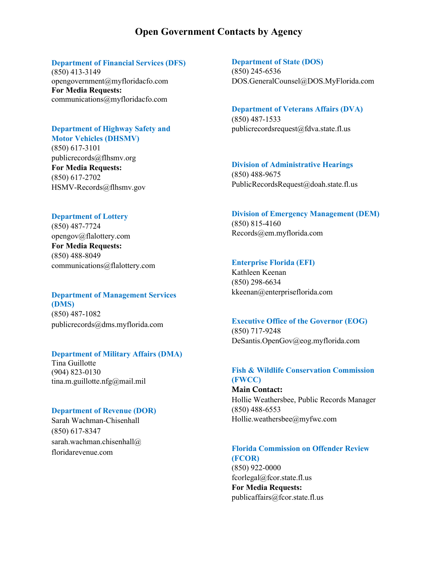## **Open Government Contacts by Agency**

### **Department of Financial Services (DFS)**

(850) 413-3149 [opengovernment@myfloridacfo.com](mailto:opengovernment@myfloridacfo.com) **For Media Requests:** communications@myfloridacfo.com

#### **Department of Highway Safety and Motor Vehicles (DHSMV)**

(850) 617-3101 [publicrecords@flhsmv.org](mailto:publicrecords@flhsmv.org) **For Media Requests:** (850) 617-2702 HSMV-Records@flhsmv.gov

## **Department of Lottery**

(850) 487-7724 [opengov@flalottery.com](mailto:opengov@flalottery.com) **For Media Requests:** (850) 488-8049 [communications@flalottery.com](mailto:communications@flalottery.com)

## **Department of Management Services (DMS)** (850) 487-1082 [publicrecords@dms.myflorida.com](mailto:publicrecords@dms.myflorida.com)

### **Department of Military Affairs (DMA)**

Tina Guillotte (904) 823-0130 tina.m.guillotte.nfg@mail.mil

#### **Department of Revenue (DOR)**

Sarah Wachman-Chisenhall (850) 617-8347 sarah.wachman.chisenhall@ floridarevenue.com

#### **Department of State (DOS)**

(850) 245-6536 [DOS.GeneralCounsel@DOS.MyFlorida.com](mailto:DOS.GeneralCounsel@DOS.MyFlorida.com)

#### **Department of Veterans Affairs (DVA)**

(850) 487-1533 [publicrecordsrequest@fdva.state.fl.us](mailto:publicrecordsrequest@fdva.state.fl.us)

## **Division of Administrative Hearings**

(850) 488-9675 [PublicRecordsRequest@doah.state.fl.us](mailto:PublicRecordsRequest@doah.state.fl.us)

#### **Division of Emergency Management (DEM)**

(850) 815-4160 [Records@em.myflorida.com](mailto:Records@em.myflorida.com)

#### **Enterprise Florida (EFI)**

Kathleen Keenan (850) 298-6634 [kkeenan@enterpriseflorida.com](mailto:kkeenan@enterpriseflorida.com)

#### **Executive Office of the Governor (EOG)**

(850) 717-9248 [DeSantis.OpenGov@eog.myflorida.com](mailto:DeSantis.OpenGov@eog.myflorida.com)

## **Fish & Wildlife Conservation Commission (FWCC)**

Main Contact: Hollie Weathersbee, Public Records Manager (850) 488-6553 [Hollie.weathersbee@myfwc.com](mailto:Hollie.weathersbee@myfwc.com)

# **Florida Commission on Offender Review**

**(FCOR)** (850) 922-0000 [fcorlegal@fcor.state.fl.us](mailto:fcorlegal@fcor.state.fl.us) **For Media Requests:** publicaffairs@fcor.state.fl.us